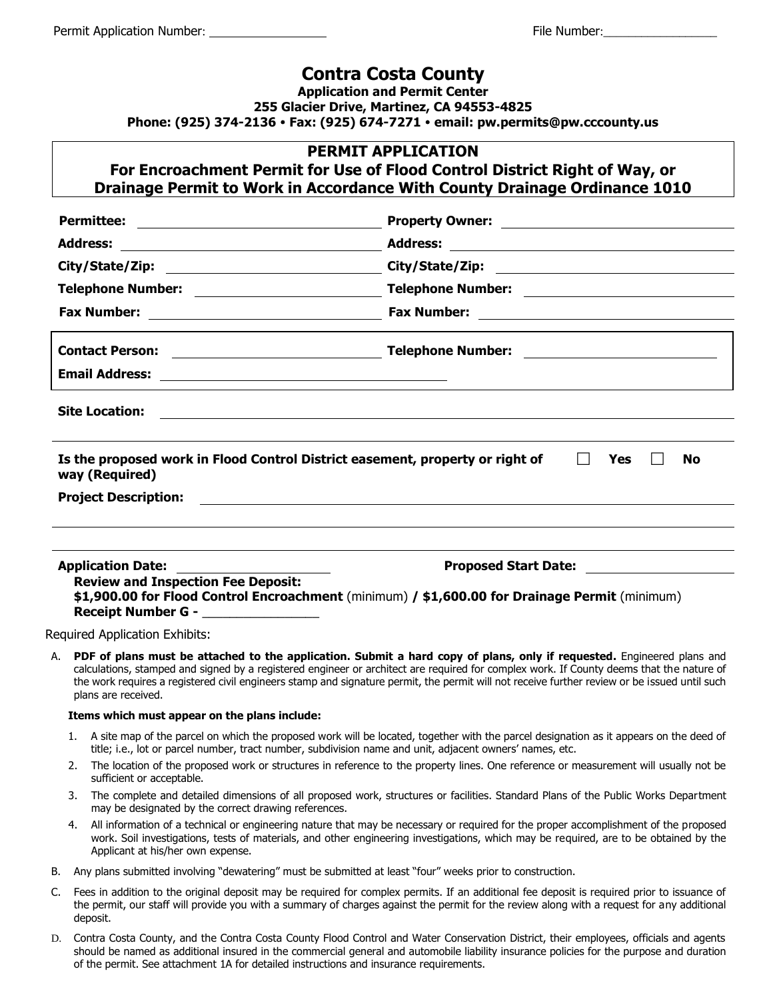### **Contra Costa County**

**Application and Permit Center 255 Glacier Drive, Martinez, CA 94553-4825 Phone: (925) 374-2136 Fax: (925) 674-7271 email: pw.permits@pw.cccounty.us**

#### **PERMIT APPLICATION**

## **For Encroachment Permit for Use of Flood Control District Right of Way, or Drainage Permit to Work in Accordance With County Drainage Ordinance 1010**

| <b>Site Location:</b><br>Is the proposed work in Flood Control District easement, property or right of<br><b>Yes</b><br>$\mathsf{L}$<br>No<br>way (Required)<br><b>Project Description:</b><br><u> 1980 - Jan Samuel Barbara, margaret e populari e populari e populari e populari e populari e populari e popu</u> |                                                                                                                                                                                                                                                                                                                                                                                                                     |  |  |
|---------------------------------------------------------------------------------------------------------------------------------------------------------------------------------------------------------------------------------------------------------------------------------------------------------------------|---------------------------------------------------------------------------------------------------------------------------------------------------------------------------------------------------------------------------------------------------------------------------------------------------------------------------------------------------------------------------------------------------------------------|--|--|
|                                                                                                                                                                                                                                                                                                                     |                                                                                                                                                                                                                                                                                                                                                                                                                     |  |  |
|                                                                                                                                                                                                                                                                                                                     |                                                                                                                                                                                                                                                                                                                                                                                                                     |  |  |
| <b>Application Date:</b>                                                                                                                                                                                                                                                                                            |                                                                                                                                                                                                                                                                                                                                                                                                                     |  |  |
| <b>Review and Inspection Fee Deposit:</b><br><b>Receipt Number G - Example 2014</b>                                                                                                                                                                                                                                 | \$1,900.00 for Flood Control Encroachment (minimum) / \$1,600.00 for Drainage Permit (minimum)                                                                                                                                                                                                                                                                                                                      |  |  |
| <b>Required Application Exhibits:</b>                                                                                                                                                                                                                                                                               |                                                                                                                                                                                                                                                                                                                                                                                                                     |  |  |
| А.<br>plans are received.                                                                                                                                                                                                                                                                                           | PDF of plans must be attached to the application. Submit a hard copy of plans, only if requested. Engineered plans and<br>calculations, stamped and signed by a registered engineer or architect are required for complex work. If County deems that the nature of<br>the work requires a registered civil engineers stamp and signature permit, the permit will not receive further review or be issued until such |  |  |
| Items which must appear on the plans include:                                                                                                                                                                                                                                                                       |                                                                                                                                                                                                                                                                                                                                                                                                                     |  |  |
| 1. A site map of the parcel on which the proposed work will be located, together with the parcel designation as it appears on the deed of                                                                                                                                                                           |                                                                                                                                                                                                                                                                                                                                                                                                                     |  |  |

- title; i.e., lot or parcel number, tract number, subdivision name and unit, adjacent owners' names, etc.
- 2. The location of the proposed work or structures in reference to the property lines. One reference or measurement will usually not be sufficient or acceptable.
- 3. The complete and detailed dimensions of all proposed work, structures or facilities. Standard Plans of the Public Works Department may be designated by the correct drawing references.
- 4. All information of a technical or engineering nature that may be necessary or required for the proper accomplishment of the proposed work. Soil investigations, tests of materials, and other engineering investigations, which may be required, are to be obtained by the Applicant at his/her own expense.
- B. Any plans submitted involving "dewatering" must be submitted at least "four" weeks prior to construction.
- C. Fees in addition to the original deposit may be required for complex permits. If an additional fee deposit is required prior to issuance of the permit, our staff will provide you with a summary of charges against the permit for the review along with a request for any additional deposit.
- D. Contra Costa County, and the Contra Costa County Flood Control and Water Conservation District, their employees, officials and agents should be named as additional insured in the commercial general and automobile liability insurance policies for the purpose and duration of the permit. See attachment 1A for detailed instructions and insurance requirements.